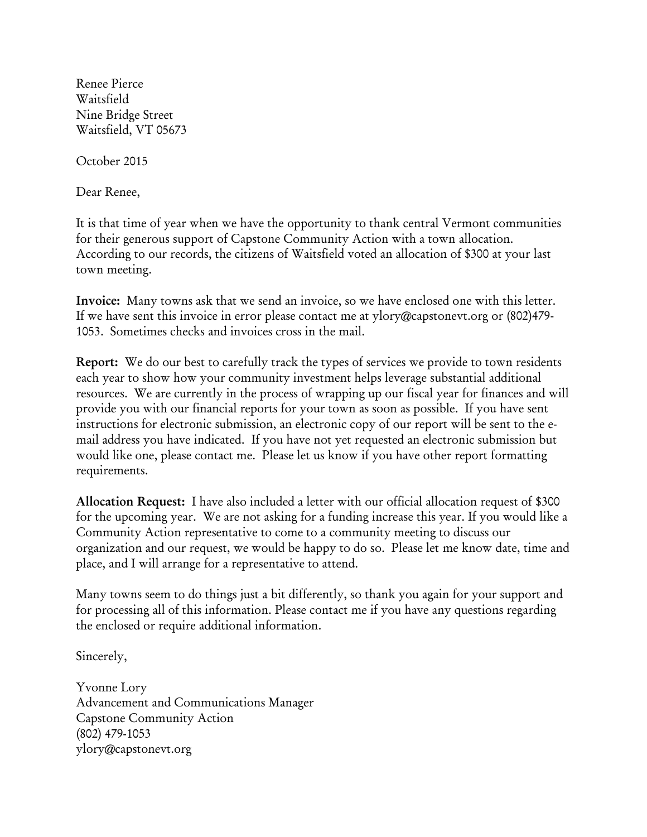Renee Pierce Waitsfield Nine Bridge Street Waitsfield, VT 05673

October 2015

Dear Renee,

It is that time of year when we have the opportunity to thank central Vermont communities for their generous support of Capstone Community Action with a town allocation. According to our records, the citizens of Waitsfield voted an allocation of \$300 at your last town meeting.

**Invoice:** Many towns ask that we send an invoice, so we have enclosed one with this letter. If we have sent this invoice in error please contact me at ylory@capstonevt.org or (802)479- 1053. Sometimes checks and invoices cross in the mail.

**Report:** We do our best to carefully track the types of services we provide to town residents each year to show how your community investment helps leverage substantial additional resources. We are currently in the process of wrapping up our fiscal year for finances and will provide you with our financial reports for your town as soon as possible. If you have sent instructions for electronic submission, an electronic copy of our report will be sent to the email address you have indicated. If you have not yet requested an electronic submission but would like one, please contact me. Please let us know if you have other report formatting requirements.

**Allocation Request:** I have also included a letter with our official allocation request of \$300 for the upcoming year. We are not asking for a funding increase this year. If you would like a Community Action representative to come to a community meeting to discuss our organization and our request, we would be happy to do so. Please let me know date, time and place, and I will arrange for a representative to attend.

Many towns seem to do things just a bit differently, so thank you again for your support and for processing all of this information. Please contact me if you have any questions regarding the enclosed or require additional information.

Sincerely,

Yvonne Lory Advancement and Communications Manager Capstone Community Action (802) 479-1053 ylory@capstonevt.org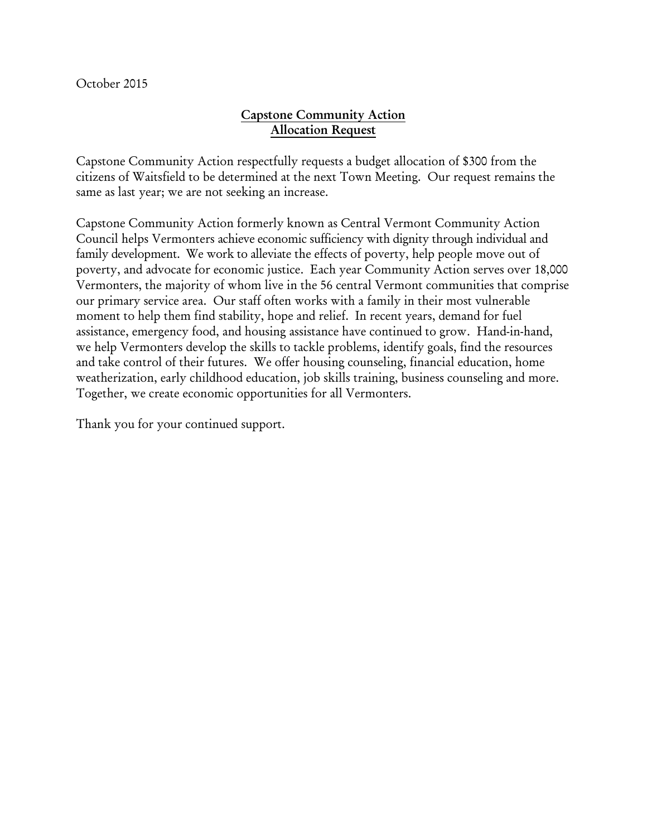October 2015

## **Capstone Community Action Allocation Request**

Capstone Community Action respectfully requests a budget allocation of \$300 from the citizens of Waitsfield to be determined at the next Town Meeting. Our request remains the same as last year; we are not seeking an increase.

Capstone Community Action formerly known as Central Vermont Community Action Council helps Vermonters achieve economic sufficiency with dignity through individual and family development. We work to alleviate the effects of poverty, help people move out of poverty, and advocate for economic justice. Each year Community Action serves over 18,000 Vermonters, the majority of whom live in the 56 central Vermont communities that comprise our primary service area. Our staff often works with a family in their most vulnerable moment to help them find stability, hope and relief. In recent years, demand for fuel assistance, emergency food, and housing assistance have continued to grow. Hand-in-hand, we help Vermonters develop the skills to tackle problems, identify goals, find the resources and take control of their futures. We offer housing counseling, financial education, home weatherization, early childhood education, job skills training, business counseling and more. Together, we create economic opportunities for all Vermonters.

Thank you for your continued support.